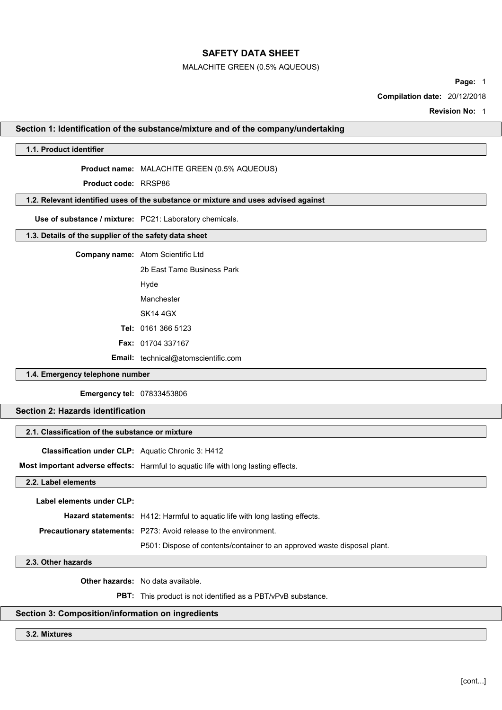### MALACHITE GREEN (0.5% AQUEOUS)

Page: 1

Compilation date: 20/12/2018

Revision No: 1

### Section 1: Identification of the substance/mixture and of the company/undertaking

## 1.1. Product identifier

Product name: MALACHITE GREEN (0.5% AQUEOUS)

Product code: RRSP86

# 1.2. Relevant identified uses of the substance or mixture and uses advised against

Use of substance / mixture: PC21: Laboratory chemicals.

# 1.3. Details of the supplier of the safety data sheet

| <b>Company name:</b> Atom Scientific Ltd   |
|--------------------------------------------|
| 2b Fast Tame Business Park                 |
| Hyde                                       |
| Manchester                                 |
| SK14 4GX                                   |
| <b>Tel: 0161 366 5123</b>                  |
| <b>Fax: 01704 337167</b>                   |
| <b>Email:</b> technical@atomscientific.com |

## 1.4. Emergency telephone number

Emergency tel: 07833453806

# Section 2: Hazards identification

## 2.1. Classification of the substance or mixture

Classification under CLP: Aquatic Chronic 3: H412

Most important adverse effects: Harmful to aquatic life with long lasting effects.

2.2. Label elements

Label elements under CLP:

Hazard statements: H412: Harmful to aquatic life with long lasting effects.

Precautionary statements: P273: Avoid release to the environment.

P501: Dispose of contents/container to an approved waste disposal plant.

## 2.3. Other hazards

Other hazards: No data available.

PBT: This product is not identified as a PBT/vPvB substance.

# Section 3: Composition/information on ingredients

3.2. Mixtures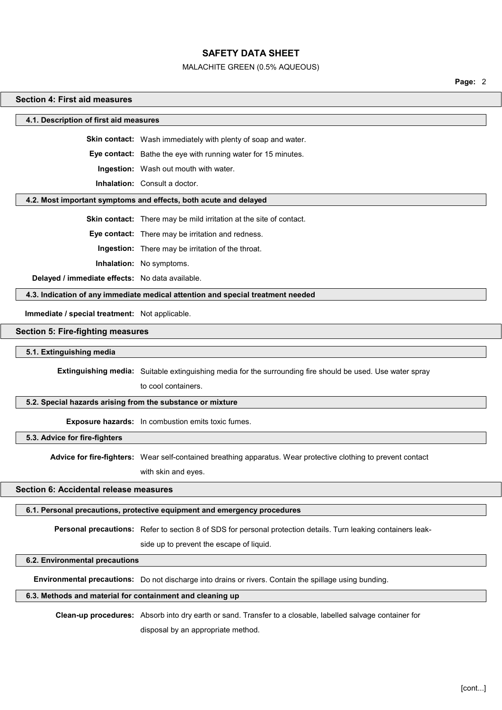#### MALACHITE GREEN (0.5% AQUEOUS)

Page: 2

#### Section 4: First aid measures

4.1. Description of first aid measures

Skin contact: Wash immediately with plenty of soap and water.

Eye contact: Bathe the eye with running water for 15 minutes.

Ingestion: Wash out mouth with water.

Inhalation: Consult a doctor.

#### 4.2. Most important symptoms and effects, both acute and delayed

Skin contact: There may be mild irritation at the site of contact.

Eye contact: There may be irritation and redness.

Ingestion: There may be irritation of the throat.

Inhalation: No symptoms.

Delayed / immediate effects: No data available.

4.3. Indication of any immediate medical attention and special treatment needed

Immediate / special treatment: Not applicable.

## Section 5: Fire-fighting measures

5.1. Extinguishing media

Extinguishing media: Suitable extinguishing media for the surrounding fire should be used. Use water spray

to cool containers.

## 5.2. Special hazards arising from the substance or mixture

Exposure hazards: In combustion emits toxic fumes.

5.3. Advice for fire-fighters

Advice for fire-fighters: Wear self-contained breathing apparatus. Wear protective clothing to prevent contact

with skin and eyes.

#### Section 6: Accidental release measures

#### 6.1. Personal precautions, protective equipment and emergency procedures

Personal precautions: Refer to section 8 of SDS for personal protection details. Turn leaking containers leak-

side up to prevent the escape of liquid.

### 6.2. Environmental precautions

Environmental precautions: Do not discharge into drains or rivers. Contain the spillage using bunding.

## 6.3. Methods and material for containment and cleaning up

Clean-up procedures: Absorb into dry earth or sand. Transfer to a closable, labelled salvage container for

disposal by an appropriate method.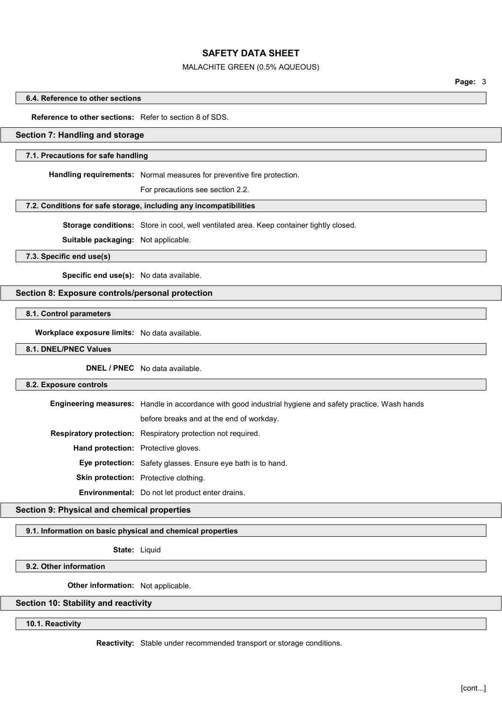#### MALACHITE GREEN (0.5% AQUEOUS)

Page: 3

#### 6.4. Reference to other sections

## Reference to other sections: Refer to section 8 of SDS.

## Section 7: Handling and storage

#### 7.1. Precautions for safe handling

Handling requirements: Normal measures for preventive fire protection.

For precautions see section 2.2.

#### 7.2. Conditions for safe storage, including any incompatibilities

Storage conditions: Store in cool, well ventilated area. Keep container tightly closed.

Suitable packaging: Not applicable.

7.3. Specific end use(s)

Specific end use(s): No data available.

## Section 8: Exposure controls/personal protection

8.1. Control parameters

Workplace exposure limits: No data available.

8.1. DNEL/PNEC Values

DNEL / PNEC No data available.

#### 8.2. Exposure controls

Engineering measures: Handle in accordance with good industrial hygiene and safety practice. Wash hands

before breaks and at the end of workday.

Respiratory protection: Respiratory protection not required.

Hand protection: Protective gloves.

Eye protection: Safety glasses. Ensure eye bath is to hand.

Skin protection: Protective clothing.

Environmental: Do not let product enter drains.

## Section 9: Physical and chemical properties

## 9.1. Information on basic physical and chemical properties

State: Liquid

## 9.2. Other information

Other information: Not applicable.

#### Section 10: Stability and reactivity

10.1. Reactivity

Reactivity: Stable under recommended transport or storage conditions.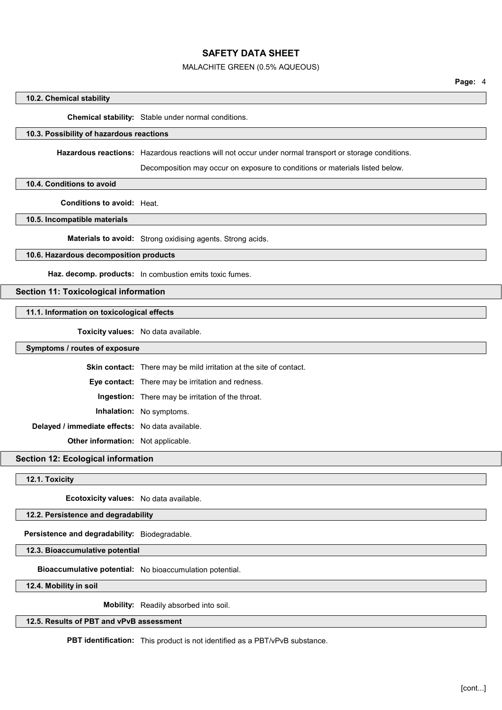#### MALACHITE GREEN (0.5% AQUEOUS)

#### 10.2. Chemical stability

Chemical stability: Stable under normal conditions.

# 10.3. Possibility of hazardous reactions

Hazardous reactions: Hazardous reactions will not occur under normal transport or storage conditions.

Decomposition may occur on exposure to conditions or materials listed below.

### 10.4. Conditions to avoid

Conditions to avoid: Heat.

10.5. Incompatible materials

Materials to avoid: Strong oxidising agents. Strong acids.

## 10.6. Hazardous decomposition products

Haz. decomp. products: In combustion emits toxic fumes.

## Section 11: Toxicological information

## 11.1. Information on toxicological effects

Toxicity values: No data available.

## Symptoms / routes of exposure

Skin contact: There may be mild irritation at the site of contact.

Eye contact: There may be irritation and redness.

Ingestion: There may be irritation of the throat.

Inhalation: No symptoms.

Delayed / immediate effects: No data available.

Other information: Not applicable.

Section 12: Ecological information

## 12.1. Toxicity

Ecotoxicity values: No data available.

12.2. Persistence and degradability

Persistence and degradability: Biodegradable.

12.3. Bioaccumulative potential

Bioaccumulative potential: No bioaccumulation potential.

12.4. Mobility in soil

Mobility: Readily absorbed into soil.

## 12.5. Results of PBT and vPvB assessment

PBT identification: This product is not identified as a PBT/vPvB substance.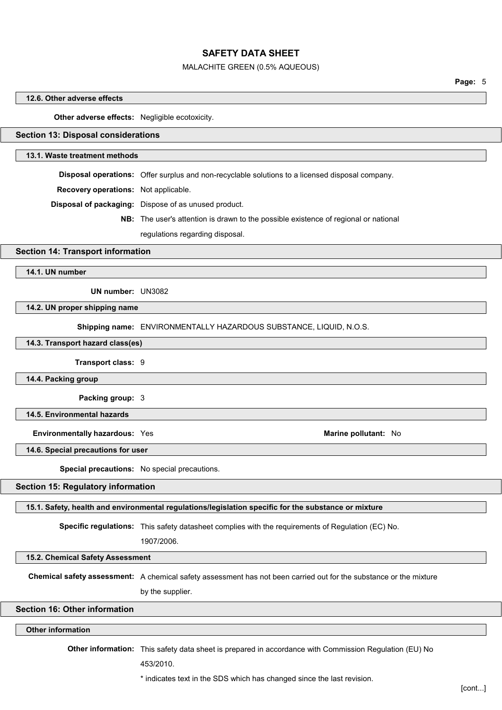#### MALACHITE GREEN (0.5% AQUEOUS)

Page: 5

#### 12.6. Other adverse effects

Other adverse effects: Negligible ecotoxicity.

## Section 13: Disposal considerations

### 13.1. Waste treatment methods

Disposal operations: Offer surplus and non-recyclable solutions to a licensed disposal company.

Recovery operations: Not applicable.

Disposal of packaging: Dispose of as unused product.

NB: The user's attention is drawn to the possible existence of regional or national

regulations regarding disposal.

#### Section 14: Transport information

14.1. UN number

UN number: UN3082

14.2. UN proper shipping name

Shipping name: ENVIRONMENTALLY HAZARDOUS SUBSTANCE, LIQUID, N.O.S.

#### 14.3. Transport hazard class(es)

Transport class: 9

14.4. Packing group

Packing group: 3

14.5. Environmental hazards

Environmentally hazardous: Yes Marine pollutant: No

14.6. Special precautions for user

Special precautions: No special precautions.

## Section 15: Regulatory information

#### 15.1. Safety, health and environmental regulations/legislation specific for the substance or mixture

Specific regulations: This safety datasheet complies with the requirements of Regulation (EC) No.

1907/2006.

15.2. Chemical Safety Assessment

Chemical safety assessment: A chemical safety assessment has not been carried out for the substance or the mixture

by the supplier.

## Section 16: Other information

Other information

Other information: This safety data sheet is prepared in accordance with Commission Regulation (EU) No

453/2010.

\* indicates text in the SDS which has changed since the last revision.